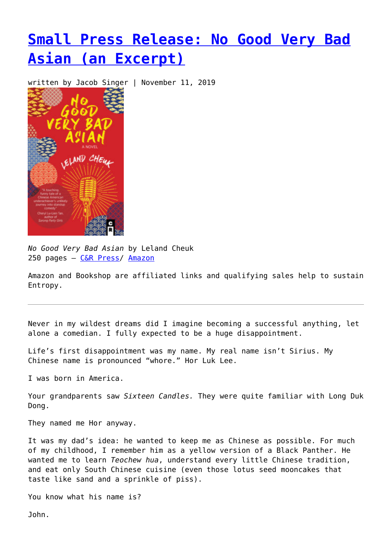## **[Small Press Release: No Good Very Bad](https://entropymag.org/small-press-release-no-good-very-bad-asian-an-excerpt/) [Asian \(an Excerpt\)](https://entropymag.org/small-press-release-no-good-very-bad-asian-an-excerpt/)**

written by Jacob Singer | November 11, 2019

*No Good Very Bad Asian* by Leland Cheuk 250 pages – [C&R Press/](https://www.crpress.org/shop/no-good-very-bad-asian/) [Amazon](https://amzn.to/2MVNpPw)

Amazon and Bookshop are affiliated links and qualifying sales help to sustain Entropy.

Never in my wildest dreams did I imagine becoming a successful anything, let alone a comedian. I fully expected to be a huge disappointment.

Life's first disappointment was my name. My real name isn't Sirius. My Chinese name is pronounced "whore." Hor Luk Lee.

I was born in America.

Your grandparents saw *Sixteen Candles.* They were quite familiar with Long Duk Dong.

They named me Hor anyway.

It was my dad's idea: he wanted to keep me as Chinese as possible. For much of my childhood, I remember him as a yellow version of a Black Panther. He wanted me to learn *Teochew hua*, understand every little Chinese tradition, and eat only South Chinese cuisine (even those lotus seed mooncakes that taste like sand and a sprinkle of piss).

You know what his name is?

John.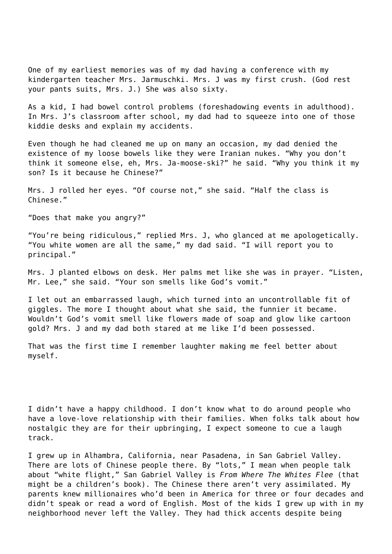One of my earliest memories was of my dad having a conference with my kindergarten teacher Mrs. Jarmuschki. Mrs. J was my first crush. (God rest your pants suits, Mrs. J.) She was also sixty.

As a kid, I had bowel control problems (foreshadowing events in adulthood). In Mrs. J's classroom after school, my dad had to squeeze into one of those kiddie desks and explain my accidents.

Even though he had cleaned me up on many an occasion, my dad denied the existence of my loose bowels like they were Iranian nukes. "Why you don't think it someone else, eh, Mrs. Ja-moose-ski?" he said. "Why you think it my son? Is it because he Chinese?"

Mrs. J rolled her eyes. "Of course not," she said. "Half the class is Chinese."

"Does that make you angry?"

"You're being ridiculous," replied Mrs. J, who glanced at me apologetically. "You white women are all the same," my dad said. "I will report you to principal."

Mrs. J planted elbows on desk. Her palms met like she was in prayer. "Listen, Mr. Lee," she said. "Your son smells like God's vomit."

I let out an embarrassed laugh, which turned into an uncontrollable fit of giggles. The more I thought about what she said, the funnier it became. Wouldn't God's vomit smell like flowers made of soap and glow like cartoon gold? Mrs. J and my dad both stared at me like I'd been possessed.

That was the first time I remember laughter making me feel better about myself.

I didn't have a happy childhood. I don't know what to do around people who have a love-love relationship with their families. When folks talk about how nostalgic they are for their upbringing, I expect someone to cue a laugh track.

I grew up in Alhambra, California, near Pasadena, in San Gabriel Valley. There are lots of Chinese people there. By "lots," I mean when people talk about "white flight," San Gabriel Valley is *From Where The Whites Flee* (that might be a children's book). The Chinese there aren't very assimilated. My parents knew millionaires who'd been in America for three or four decades and didn't speak or read a word of English. Most of the kids I grew up with in my neighborhood never left the Valley. They had thick accents despite being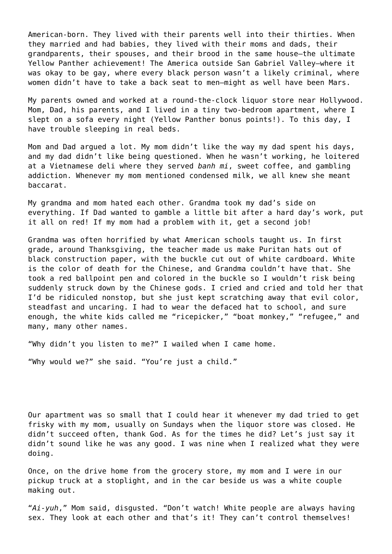American-born. They lived with their parents well into their thirties. When they married and had babies, they lived with their moms and dads, their grandparents, their spouses, and their brood in the same house—the ultimate Yellow Panther achievement! The America outside San Gabriel Valley—where it was okay to be gay, where every black person wasn't a likely criminal, where women didn't have to take a back seat to men—might as well have been Mars.

My parents owned and worked at a round-the-clock liquor store near Hollywood. Mom, Dad, his parents, and I lived in a tiny two-bedroom apartment, where I slept on a sofa every night (Yellow Panther bonus points!). To this day, I have trouble sleeping in real beds.

Mom and Dad argued a lot. My mom didn't like the way my dad spent his days, and my dad didn't like being questioned. When he wasn't working, he loitered at a Vietnamese deli where they served *banh mi*, sweet coffee, and gambling addiction. Whenever my mom mentioned condensed milk, we all knew she meant baccarat.

My grandma and mom hated each other. Grandma took my dad's side on everything. If Dad wanted to gamble a little bit after a hard day's work, put it all on red! If my mom had a problem with it, get a second job!

Grandma was often horrified by what American schools taught us. In first grade, around Thanksgiving, the teacher made us make Puritan hats out of black construction paper, with the buckle cut out of white cardboard. White is the color of death for the Chinese, and Grandma couldn't have that. She took a red ballpoint pen and colored in the buckle so I wouldn't risk being suddenly struck down by the Chinese gods. I cried and cried and told her that I'd be ridiculed nonstop, but she just kept scratching away that evil color, steadfast and uncaring. I had to wear the defaced hat to school, and sure enough, the white kids called me "ricepicker," "boat monkey," "refugee," and many, many other names.

"Why didn't you listen to me?" I wailed when I came home.

"Why would we?" she said. "You're just a child."

Our apartment was so small that I could hear it whenever my dad tried to get frisky with my mom, usually on Sundays when the liquor store was closed. He didn't succeed often, thank God. As for the times he did? Let's just say it didn't sound like he was any good. I was nine when I realized what they were doing.

Once, on the drive home from the grocery store, my mom and I were in our pickup truck at a stoplight, and in the car beside us was a white couple making out.

"*Ai-yuh*," Mom said, disgusted. "Don't watch! White people are always having sex. They look at each other and that's it! They can't control themselves!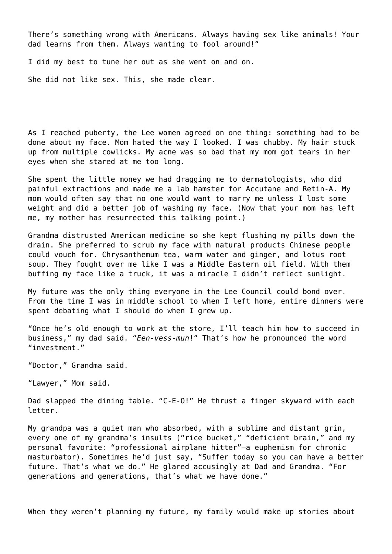There's something wrong with Americans. Always having sex like animals! Your dad learns from them. Always wanting to fool around!"

I did my best to tune her out as she went on and on.

She did not like sex. This, she made clear.

As I reached puberty, the Lee women agreed on one thing: something had to be done about my face. Mom hated the way I looked. I was chubby. My hair stuck up from multiple cowlicks. My acne was so bad that my mom got tears in her eyes when she stared at me too long.

She spent the little money we had dragging me to dermatologists, who did painful extractions and made me a lab hamster for Accutane and Retin-A. My mom would often say that no one would want to marry me unless I lost some weight and did a better job of washing my face. (Now that your mom has left me, my mother has resurrected this talking point.)

Grandma distrusted American medicine so she kept flushing my pills down the drain. She preferred to scrub my face with natural products Chinese people could vouch for. Chrysanthemum tea, warm water and ginger, and lotus root soup. They fought over me like I was a Middle Eastern oil field. With them buffing my face like a truck, it was a miracle I didn't reflect sunlight.

My future was the only thing everyone in the Lee Council could bond over. From the time I was in middle school to when I left home, entire dinners were spent debating what I should do when I grew up.

"Once he's old enough to work at the store, I'll teach him how to succeed in business," my dad said. "*Een-vess-mun*!" That's how he pronounced the word "investment."

"Doctor," Grandma said.

"Lawyer," Mom said.

Dad slapped the dining table. "C-E-O!" He thrust a finger skyward with each letter.

My grandpa was a quiet man who absorbed, with a sublime and distant grin, every one of my grandma's insults ("rice bucket," "deficient brain," and my personal favorite: "professional airplane hitter"—a euphemism for chronic masturbator). Sometimes he'd just say, "Suffer today so you can have a better future. That's what we do." He glared accusingly at Dad and Grandma. "For generations and generations, that's what we have done."

When they weren't planning my future, my family would make up stories about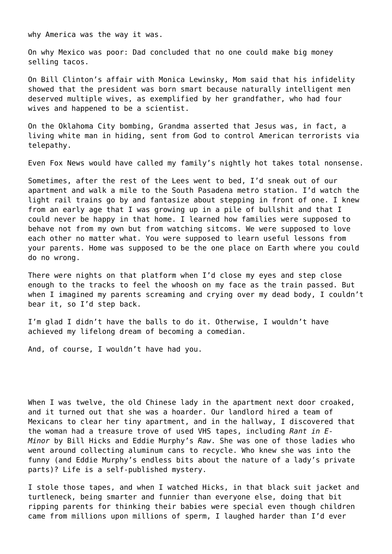why America was the way it was.

On why Mexico was poor: Dad concluded that no one could make big money selling tacos.

On Bill Clinton's affair with Monica Lewinsky, Mom said that his infidelity showed that the president was born smart because naturally intelligent men deserved multiple wives, as exemplified by her grandfather, who had four wives and happened to be a scientist.

On the Oklahoma City bombing, Grandma asserted that Jesus was, in fact, a living white man in hiding, sent from God to control American terrorists via telepathy.

Even Fox News would have called my family's nightly hot takes total nonsense.

Sometimes, after the rest of the Lees went to bed, I'd sneak out of our apartment and walk a mile to the South Pasadena metro station. I'd watch the light rail trains go by and fantasize about stepping in front of one. I knew from an early age that I was growing up in a pile of bullshit and that I could never be happy in that home. I learned how families were supposed to behave not from my own but from watching sitcoms. We were supposed to love each other no matter what. You were supposed to learn useful lessons from your parents. Home was supposed to be the one place on Earth where you could do no wrong.

There were nights on that platform when I'd close my eyes and step close enough to the tracks to feel the whoosh on my face as the train passed. But when I imagined my parents screaming and crying over my dead body, I couldn't bear it, so I'd step back.

I'm glad I didn't have the balls to do it. Otherwise, I wouldn't have achieved my lifelong dream of becoming a comedian.

And, of course, I wouldn't have had you.

When I was twelve, the old Chinese lady in the apartment next door croaked, and it turned out that she was a hoarder. Our landlord hired a team of Mexicans to clear her tiny apartment, and in the hallway, I discovered that the woman had a treasure trove of used VHS tapes, including *Rant in E-Minor* by Bill Hicks and Eddie Murphy's *Raw*. She was one of those ladies who went around collecting aluminum cans to recycle. Who knew she was into the funny (and Eddie Murphy's endless bits about the nature of a lady's private parts)? Life is a self-published mystery.

I stole those tapes, and when I watched Hicks, in that black suit jacket and turtleneck, being smarter and funnier than everyone else, doing that bit ripping parents for thinking their babies were special even though children came from millions upon millions of sperm, I laughed harder than I'd ever